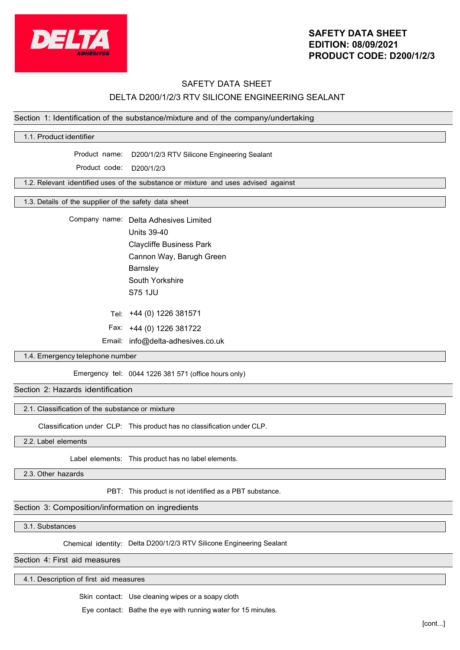

# **SAFETY DATA SHEET EDITION: 08/09/2021 PRODUCT CODE: D200/1/2/3**

# SAFETY DATA SHEET DELTA D200/1/2/3 RTV SILICONE ENGINEERING SEALANT

## Section 1: Identification of the substance/mixture and of the company/undertaking

| 1.1. Product identifier                               |                                                                                    |  |  |  |
|-------------------------------------------------------|------------------------------------------------------------------------------------|--|--|--|
|                                                       | Product name: D200/1/2/3 RTV Silicone Engineering Sealant                          |  |  |  |
|                                                       |                                                                                    |  |  |  |
| Product code:                                         | D200/1/2/3                                                                         |  |  |  |
|                                                       | 1.2. Relevant identified uses of the substance or mixture and uses advised against |  |  |  |
|                                                       |                                                                                    |  |  |  |
| 1.3. Details of the supplier of the safety data sheet |                                                                                    |  |  |  |
|                                                       | Company name: Delta Adhesives Limited                                              |  |  |  |
|                                                       | <b>Units 39-40</b>                                                                 |  |  |  |
|                                                       | <b>Claycliffe Business Park</b>                                                    |  |  |  |
|                                                       | Cannon Way, Barugh Green                                                           |  |  |  |
|                                                       | Barnsley                                                                           |  |  |  |
|                                                       | South Yorkshire                                                                    |  |  |  |
|                                                       | <b>S75 1JU</b>                                                                     |  |  |  |
|                                                       |                                                                                    |  |  |  |
|                                                       | Tel: +44 (0) 1226 381571                                                           |  |  |  |
|                                                       | Fax: +44 (0) 1226 381722                                                           |  |  |  |
|                                                       | Email: info@delta-adhesives.co.uk                                                  |  |  |  |
| 1.4. Emergency telephone number                       |                                                                                    |  |  |  |
|                                                       |                                                                                    |  |  |  |
|                                                       | Emergency tel: 0044 1226 381 571 (office hours only)                               |  |  |  |
| Section 2: Hazards identification                     |                                                                                    |  |  |  |
| 2.1. Classification of the substance or mixture       |                                                                                    |  |  |  |
|                                                       | Classification under CLP: This product has no classification under CLP.            |  |  |  |
|                                                       |                                                                                    |  |  |  |

2.2. Label elements

Label elements: This product has no label elements.

2.3. Other hazards

PBT: This product is not identified as a PBT substance.

## Section 3: Composition/information on ingredients

3.1. Substances

Chemical identity: Delta D200/1/2/3 RTV Silicone Engineering Sealant

Section 4: First aid measures

4.1. Description of first aid measures

Skin contact: Use cleaning wipes or a soapy cloth

Eye contact: Bathe the eye with running water for 15 minutes.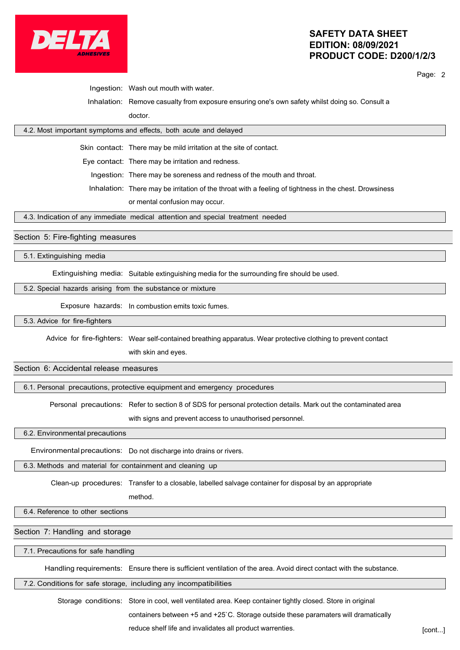

## **SAFETY DATA SHEET EDITION: 08/09/2021 PRODUCT CODE: D200/1/2/3**

Page: 2

Ingestion: Wash out mouth with water.

Inhalation: Remove casualty from exposure ensuring one's own safety whilst doing so. Consult a doctor.

## 4.2. Most important symptoms and effects, both acute and delayed

Skin contact: There may be mild irritation at the site of contact.

Eye contact: There may be irritation and redness.

Ingestion: There may be soreness and redness of the mouth and throat.

Inhalation: There may be irritation of the throat with a feeling of tightness in the chest. Drowsiness

or mental confusion may occur.

4.3. Indication of any immediate medical attention and special treatment needed

## Section 5: Fire-fighting measures

5.1. Extinguishing media

Extinguishing media: Suitable extinguishing media for the surrounding fire should be used.

#### 5.2. Special hazards arising from the substance or mixture

Exposure hazards: In combustion emits toxic fumes.

5.3. Advice for fire-fighters

Advice for fire-fighters: Wear self-contained breathing apparatus. Wear protective clothing to prevent contact

with skin and eyes.

## Section 6: Accidental release measures

6.1. Personal precautions, protective equipment and emergency procedures

Personal precautions: Refer to section 8 of SDS for personal protection details. Mark out the contaminated area

with signs and prevent access to unauthorised personnel.

6.2. Environmental precautions

Environmentalprecautions: Do not discharge into drains or rivers.

6.3. Methods and material for containment and cleaning up

Clean-up procedures: Transfer to a closable, labelled salvage container for disposal by an appropriate

method.

6.4. Reference to other sections

Section 7: Handling and storage

7.1. Precautions for safe handling

Handling requirements: Ensure there is sufficient ventilation of the area. Avoid direct contact with the substance.

7.2. Conditions for safe storage, including any incompatibilities

Storage conditions: Store in cool, well ventilated area. Keep container tightly closed. Store in original containers between +5 and +25`C. Storage outside these paramaters will dramatically

reduce shelf life and invalidates all product warrenties. **Example 20 and Section** [cont...]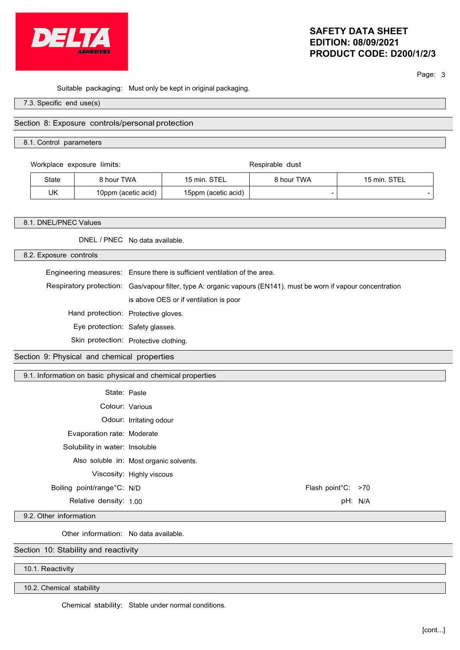

# **SAFETY DATA SHEET EDITION: 08/09/2021 PRODUCT CODE: D200/1/2/3**

Page: 3

Suitable packaging: Must only be kept in original packaging.

7.3. Specific end use(s)

### Section 8: Exposure controls/personal protection

#### 8.1. Control parameters

Workplace exposure limits: Respirable dust

| State | ነ hour TWA          | STE.<br>'5 min.     | <sup>२</sup> hour TWA    | <b>STEL</b><br>$15$ min. |
|-------|---------------------|---------------------|--------------------------|--------------------------|
| UK    | 10ppm (acetic acid) | 15ppm (acetic acid) | $\overline{\phantom{a}}$ | $\overline{\phantom{0}}$ |

#### 8.1. DNEL/PNEC Values

DNEL / PNEC No data available.

8.2. Exposure controls

Engineering measures: Ensure there is sufficient ventilation of the area.

Respiratory protection: Gas/vapour filter, type A: organic vapours (EN141). must be worn if vapour concentration is above OES or if ventilation is poor

Hand protection: Protective gloves.

Eye protection: Safety glasses.

Skin protection: Protective clothing.

Section 9: Physical and chemical properties

9.1. Information on basic physical and chemical properties

| State: Paste                   |                                         |                    |  |
|--------------------------------|-----------------------------------------|--------------------|--|
| Colour: Various                |                                         |                    |  |
|                                | Odour: Irritating odour                 |                    |  |
| Evaporation rate: Moderate     |                                         |                    |  |
| Solubility in water: Insoluble |                                         |                    |  |
|                                | Also soluble in: Most organic solvents. |                    |  |
|                                | Viscosity: Highly viscous               |                    |  |
| Boiling point/range°C: N/D     |                                         | Flash point°C: >70 |  |
| Relative density: 1.00         |                                         | pH: N/A            |  |
|                                |                                         |                    |  |

9.2. Other information

Other information: No data available.

Section 10: Stability and reactivity

10.1. Reactivity

10.2. Chemical stability

Chemical stability: Stable under normal conditions.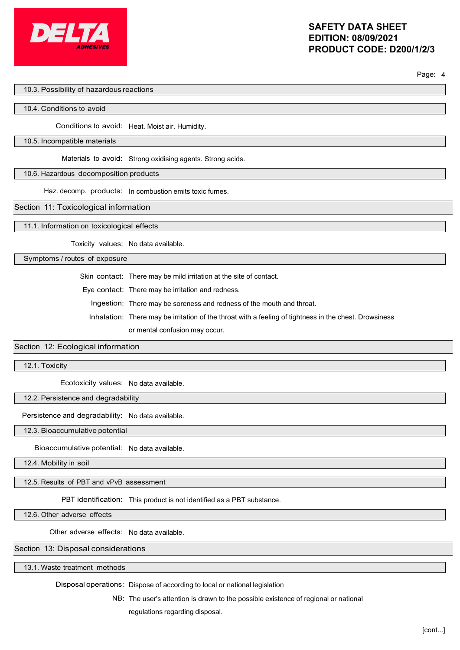

#### Page: 4

### 10.3. Possibility of hazardous reactions

#### 10.4. Conditions to avoid

Conditions to avoid: Heat. Moist air. Humidity.

#### 10.5. Incompatible materials

Materials to avoid: Strong oxidising agents. Strong acids.

### 10.6. Hazardous decomposition products

Haz. decomp. products: In combustion emits toxic fumes.

#### Section 11: Toxicological information

11.1. Information on toxicological effects

Toxicity values: No data available.

Symptoms / routes of exposure

Skin contact: There may be mild irritation at the site of contact.

Eye contact: There may be irritation and redness.

Ingestion: There may be soreness and redness of the mouth and throat.

Inhalation: There may be irritation of the throat with a feeling of tightness in the chest. Drowsiness

or mental confusion may occur.

### Section 12: Ecological information

12.1. Toxicity

Ecotoxicity values: No data available.

#### 12.2. Persistence and degradability

Persistence and degradability: No data available.

12.3. Bioaccumulative potential

Bioaccumulative potential: No data available.

12.4. Mobility in soil

12.5. Results of PBT and vPvB assessment

PBT identification: This product is not identified as a PBT substance.

12.6. Other adverse effects

Other adverse effects: No data available.

## Section 13: Disposal considerations

13.1. Waste treatment methods

Disposal operations: Dispose of according to local or national legislation

NB: The user's attention is drawn to the possible existence of regional or national regulations regarding disposal.